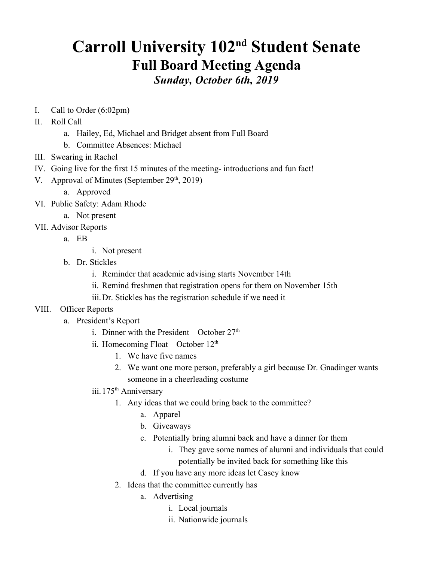## **Carroll University 102<sup>nd</sup> Student Senate Full Board Meeting Agenda** *Sunday, October 6th, 2019*

- I. Call to Order (6:02pm)
- II. Roll Call
	- a. Hailey, Ed, Michael and Bridget absent from Full Board
	- b. Committee Absences: Michael
- III. Swearing in Rachel
- IV. Going live for the first 15 minutes of the meeting- introductions and fun fact!
- V. Approval of Minutes (September  $29<sup>th</sup>$ , 2019)
	- a. Approved
- VI. Public Safety: Adam Rhode
	- a. Not present
- VII. Advisor Reports
	- a. EB
- i. Not present
- b. Dr. Stickles
	- i. Reminder that academic advising starts November 14th
	- ii. Remind freshmen that registration opens for them on November 15th
	- iii.Dr. Stickles has the registration schedule if we need it
- VIII. Officer Reports
	- a. President's Report
		- i. Dinner with the President October  $27<sup>th</sup>$
		- ii. Homecoming Float October  $12<sup>th</sup>$ 
			- 1. We have five names
			- 2. We want one more person, preferably a girl because Dr. Gnadinger wants someone in a cheerleading costume
		- iii. 175<sup>th</sup> Anniversary
			- 1. Any ideas that we could bring back to the committee?
				- a. Apparel
				- b. Giveaways
				- c. Potentially bring alumni back and have a dinner for them
					- i. They gave some names of alumni and individuals that could potentially be invited back for something like this
				- d. If you have any more ideas let Casey know
			- 2. Ideas that the committee currently has
				- a. Advertising
					- i. Local journals
					- ii. Nationwide journals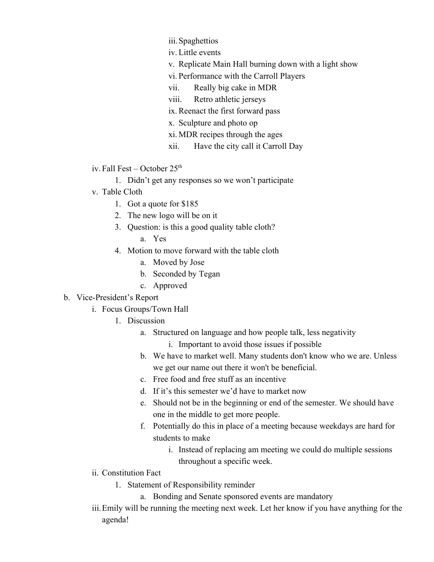- iii.Spaghettios
- iv. Little events
- v. Replicate Main Hall burning down with a light show
- vi. Performance with the Carroll Players
- vii. Really big cake in MDR
- viii. Retro athletic jerseys
- ix. Reenact the first forward pass
- x. Sculpture and photo op
- xi. MDR recipes through the ages
- xii. Have the city call it Carroll Day
- iv. Fall Fest October  $25<sup>th</sup>$ 
	- 1. Didn't get any responses so we won't participate
- v. Table Cloth
	- 1. Got a quote for \$185
	- 2. The new logo will be on it
	- 3. Question: is this a good quality table cloth?
		- a. Yes
	- 4. Motion to move forward with the table cloth
		- a. Moved by Jose
		- b. Seconded by Tegan
		- c. Approved
- b. Vice-President's Report
	- i. Focus Groups/Town Hall
		- 1. Discussion
			- a. Structured on language and how people talk, less negativity
				- i. Important to avoid those issues if possible
			- b. We have to market well. Many students don't know who we are. Unless we get our name out there it won't be beneficial.
			- c. Free food and free stuff as an incentive
			- d. If it's this semester we'd have to market now
			- e. Should not be in the beginning or end of the semester. We should have one in the middle to get more people.
			- f. Potentially do this in place of a meeting because weekdays are hard for students to make
				- i. Instead of replacing am meeting we could do multiple sessions throughout a specific week.
	- ii. Constitution Fact
		- 1. Statement of Responsibility reminder
			- a. Bonding and Senate sponsored events are mandatory
	- iii.Emily will be running the meeting next week. Let her know if you have anything for the agenda!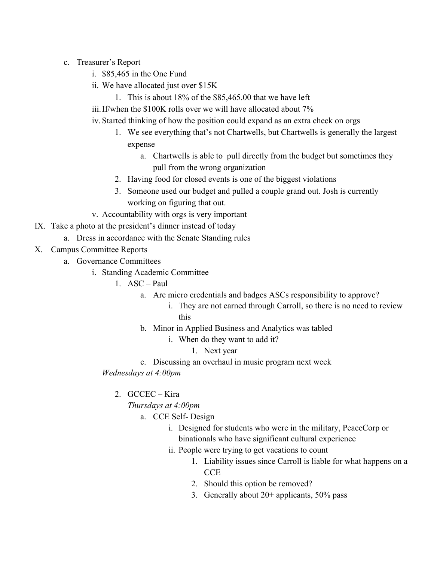- c. Treasurer's Report
	- i. \$85,465 in the One Fund
	- ii. We have allocated just over \$15K
		- 1. This is about 18% of the \$85,465.00 that we have left
	- iii.If/when the \$100K rolls over we will have allocated about 7%
	- iv. Started thinking of how the position could expand as an extra check on orgs
		- 1. We see everything that's not Chartwells, but Chartwells is generally the largest expense
			- a. Chartwells is able to pull directly from the budget but sometimes they pull from the wrong organization
		- 2. Having food for closed events is one of the biggest violations
		- 3. Someone used our budget and pulled a couple grand out. Josh is currently working on figuring that out.
	- v. Accountability with orgs is very important
- IX. Take a photo at the president's dinner instead of today
	- a. Dress in accordance with the Senate Standing rules
- X. Campus Committee Reports
	- a. Governance Committees
		- i. Standing Academic Committee
			- 1. ASC Paul
				- a. Are micro credentials and badges ASCs responsibility to approve?
					- i. They are not earned through Carroll, so there is no need to review this
				- b. Minor in Applied Business and Analytics was tabled
					- i. When do they want to add it?
						- 1. Next year
				- c. Discussing an overhaul in music program next week
			- *Wednesdays at 4:00pm*
				- 2. GCCEC Kira

## *Thursdays at 4:00pm*

- a. CCE Self- Design
	- i. Designed for students who were in the military, PeaceCorp or binationals who have significant cultural experience
	- ii. People were trying to get vacations to count
		- 1. Liability issues since Carroll is liable for what happens on a **CCE**
		- 2. Should this option be removed?
		- 3. Generally about  $20+$  applicants,  $50\%$  pass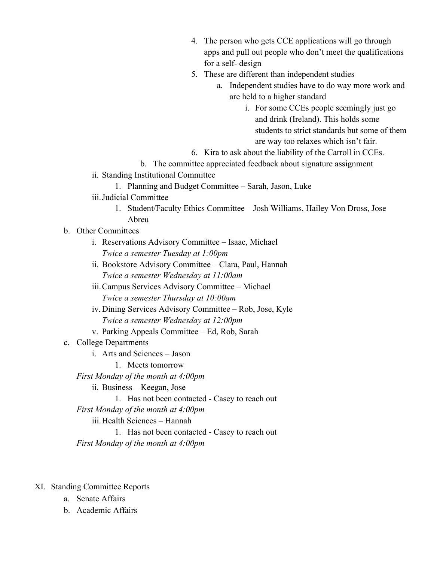- 4. The person who gets CCE applications will go through apps and pull out people who don't meet the qualifications for a self- design
- 5. These are different than independent studies
	- a. Independent studies have to do way more work and are held to a higher standard
		- i. For some CCEs people seemingly just go and drink (Ireland). This holds some students to strict standards but some of them are way too relaxes which isn't fair.
- 6. Kira to ask about the liability of the Carroll in CCEs.
- b. The committee appreciated feedback about signature assignment
- ii. Standing Institutional Committee
	- 1. Planning and Budget Committee Sarah, Jason, Luke
- iii.Judicial Committee
	- 1. Student/Faculty Ethics Committee Josh Williams, Hailey Von Dross, Jose Abreu
- b. Other Committees
	- i. Reservations Advisory Committee Isaac, Michael *Twice a semester Tuesday at 1:00pm*
	- ii. Bookstore Advisory Committee Clara, Paul, Hannah *Twice a semester Wednesday at 11:00am*
	- iii.Campus Services Advisory Committee Michael *Twice a semester Thursday at 10:00am*
	- iv. Dining Services Advisory Committee Rob, Jose, Kyle *Twice a semester Wednesday at 12:00pm*
	- v. Parking Appeals Committee Ed, Rob, Sarah
- c. College Departments
	- i. Arts and Sciences Jason
		- 1. Meets tomorrow
	- *First Monday of the month at 4:00pm*
		- ii. Business Keegan, Jose
			- 1. Has not been contacted Casey to reach out
	- *First Monday of the month at 4:00pm*
		- iii.Health Sciences Hannah
	- 1. Has not been contacted Casey to reach out *First Monday of the month at 4:00pm*
- XI. Standing Committee Reports
	- a. Senate Affairs
	- b. Academic Affairs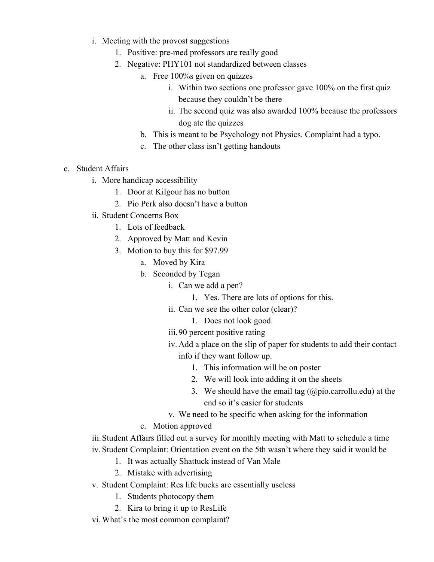- i. Meeting with the provost suggestions
	- 1. Positive: pre-med professors are really good
	- 2. Negative: PHY101 not standardized between classes
		- a. Free 100%s given on quizzes
			- i. Within two sections one professor gave 100% on the first quiz because they couldn't be there
			- ii. The second quiz was also awarded 100% because the professors dog ate the quizzes
		- b. This is meant to be Psychology not Physics. Complaint had a typo.
		- c. The other class isn't getting handouts
- c. Student Affairs
	- i. More handicap accessibility
		- 1. Door at Kilgour has no button
		- 2. Pio Perk also doesn't have a button
	- ii. Student Concerns Box
		- 1. Lots of feedback
		- 2. Approved by Matt and Kevin
		- 3. Motion to buy this for \$97.99
			- a. Moved by Kira
			- b. Seconded by Tegan
				- i. Can we add a pen?
					- 1. Yes. There are lots of options for this.
				- ii. Can we see the other color (clear)?
					- 1. Does not look good.
				- iii.90 percent positive rating
				- iv. Add a place on the slip of paper for students to add their contact info if they want follow up.
					- 1. This information will be on poster
					- 2. We will look into adding it on the sheets
					- 3. We should have the email tag  $(a)$  pio.carrollu.edu) at the end so it's easier for students
				- v. We need to be specific when asking for the information
			- c. Motion approved

iii.Student Affairs filled out a survey for monthly meeting with Matt to schedule a time iv. Student Complaint: Orientation event on the 5th wasn't where they said it would be

- 1. It was actually Shattuck instead of Van Male
- 2. Mistake with advertising
- v. Student Complaint: Res life bucks are essentially useless
	- 1. Students photocopy them
	- 2. Kira to bring it up to ResLife
- vi. What's the most common complaint?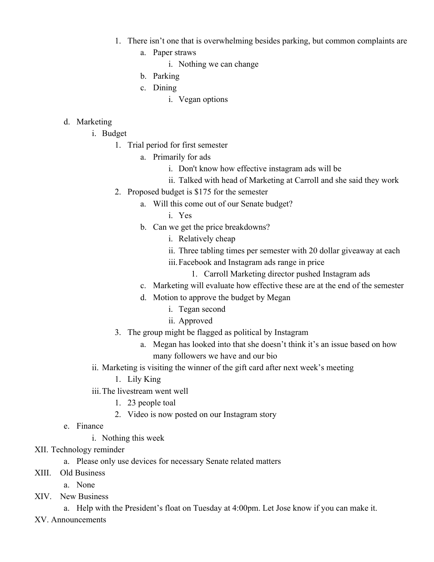- 1. There isn't one that is overwhelming besides parking, but common complaints are
	- a. Paper straws
		- i. Nothing we can change
	- b. Parking
	- c. Dining
		- i. Vegan options

## d. Marketing

- i. Budget
	- 1. Trial period for first semester
		- a. Primarily for ads
			- i. Don't know how effective instagram ads will be
			- ii. Talked with head of Marketing at Carroll and she said they work
	- 2. Proposed budget is \$175 for the semester
		- a. Will this come out of our Senate budget?
			- i. Yes
		- b. Can we get the price breakdowns?
			- i. Relatively cheap
			- ii. Three tabling times per semester with 20 dollar giveaway at each
			- iii.Facebook and Instagram ads range in price
				- 1. Carroll Marketing director pushed Instagram ads
		- c. Marketing will evaluate how effective these are at the end of the semester
		- d. Motion to approve the budget by Megan
			- i. Tegan second
			- ii. Approved
	- 3. The group might be flagged as political by Instagram
		- a. Megan has looked into that she doesn't think it's an issue based on how many followers we have and our bio
- ii. Marketing is visiting the winner of the gift card after next week's meeting
	- 1. Lily King
- iii.The livestream went well
	- 1. 23 people toal
	- 2. Video is now posted on our Instagram story
- e. Finance
	- i. Nothing this week
- XII. Technology reminder
	- a. Please only use devices for necessary Senate related matters
- XIII. Old Business
	- a. None
- XIV. New Business

a. Help with the President's float on Tuesday at 4:00pm. Let Jose know if you can make it.

XV. Announcements